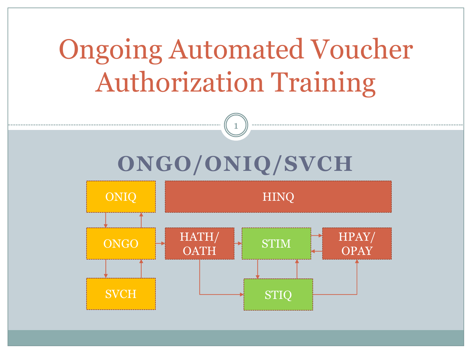# Ongoing Automated Voucher Authorization Training



1

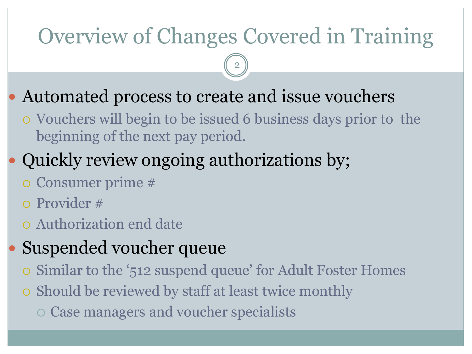## Overview of Changes Covered in Training

2

- Automated process to create and issue vouchers
	- Vouchers will begin to be issued 6 business days prior to the beginning of the next pay period.
- Quickly review ongoing authorizations by;
	- Consumer prime #
	- Provider #
	- Authorization end date
- Suspended voucher queue
	- Similar to the '512 suspend queue' for Adult Foster Homes
	- o Should be reviewed by staff at least twice monthly
		- Case managers and voucher specialists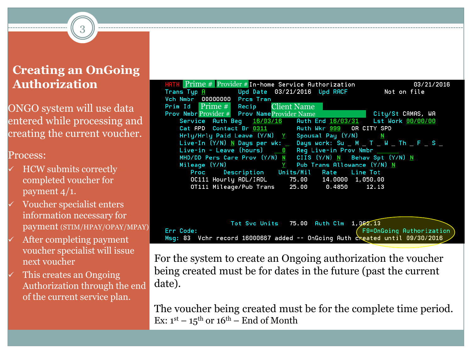#### **Creating an OnGoing Authorization**

3

ONGO system will use data entered while processing and creating the current voucher.

#### Process:

- HCW submits correctly completed voucher for payment 4/1.
- Voucher specialist enters information necessary for payment (STIM/HPAY/OPAY/MPAY)
- After completing payment voucher specialist will issue next voucher
- This creates an Ongoing Authorization through the end of the current service plan.

| <b>HATH</b> $\text{Prime}\#$ Provider $\#$ In-home Service Authorization    | 03/21/2016                         |
|-----------------------------------------------------------------------------|------------------------------------|
| Trans Typ $\overline{H}$ and Upd Date 03/21/2016 Upd RACF                   | Not on file                        |
| Vch Nmbr 00000000 Prcs Tran                                                 |                                    |
| <b>Prim Id</b> $Prime #$ Recip Client Name                                  |                                    |
| Prov Nmbr Provider # Prov Name Provider Name Name City/St CAMAS, WA         |                                    |
| Service Auth Beg 16/03/16 Auth End 16/03/31 Lst Work 00/00/00               |                                    |
| Cat APD Contact Br 0311 Auth Wkr 999 OR CITY SPD                            |                                    |
| Hrly/Hrly Paid Leave $(Y/N)$ $Y$ Spousal Pay $(Y/N)$ N                      |                                    |
| Live-In (Y/N) N Days per wk: _ Days work: Su _ M _ T _ W _ Th _ F _ S _     |                                    |
|                                                                             |                                    |
| MHD/DD Pers Care Prov (Y/N) N CIIS (Y/N) N Behav Spt (Y/N) N                |                                    |
| Mileage $(Y/N)$ $Y$ Pub Trans Allowance $(Y/N)$ N                           |                                    |
| Proc Description Units/Mil Rate Line Tot                                    |                                    |
| 0C111 Hourly ADL/IADL 75.00 14.0000 1,050.00                                |                                    |
| 0T111 Mileage/Pub Trans 25.00 0.4850 12.13                                  |                                    |
|                                                                             |                                    |
|                                                                             |                                    |
|                                                                             |                                    |
|                                                                             |                                    |
| Tot Svc Units 75.00 Auth Clm 1,062.13                                       |                                    |
| Err Code:                                                                   | $\sqrt{}$ F9=OnGoing Authorization |
| Msg: 83 Vchr record 16000667 added -- OnGoing Auth created until 09/30/2016 |                                    |

For the system to create an Ongoing authorization the voucher being created must be for dates in the future (past the current date).

The voucher being created must be for the complete time period. Ex:  $1^{st}$  –  $15^{th}$  or  $16^{th}$  – End of Month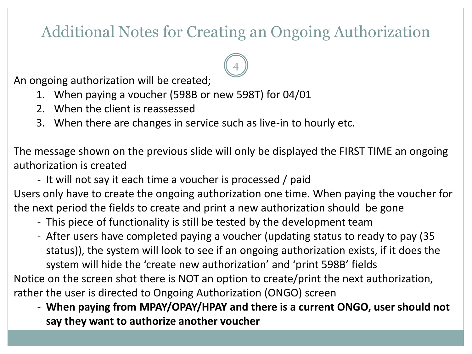### Additional Notes for Creating an Ongoing Authorization

4

An ongoing authorization will be created;

- 1. When paying a voucher (598B or new 598T) for 04/01
- 2. When the client is reassessed
- 3. When there are changes in service such as live-in to hourly etc.

The message shown on the previous slide will only be displayed the FIRST TIME an ongoing authorization is created

- It will not say it each time a voucher is processed / paid

Users only have to create the ongoing authorization one time. When paying the voucher for the next period the fields to create and print a new authorization should be gone

- This piece of functionality is still be tested by the development team
- After users have completed paying a voucher (updating status to ready to pay (35 status)), the system will look to see if an ongoing authorization exists, if it does the system will hide the 'create new authorization' and 'print 598B' fields

Notice on the screen shot there is NOT an option to create/print the next authorization, rather the user is directed to Ongoing Authorization (ONGO) screen

- **When paying from MPAY/OPAY/HPAY and there is a current ONGO, user should not say they want to authorize another voucher**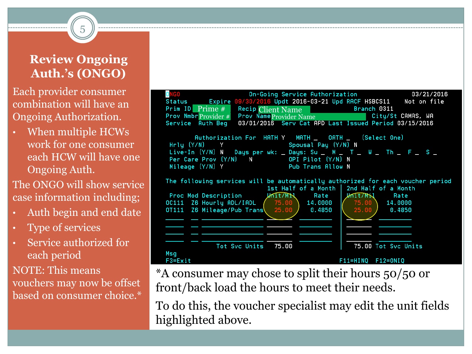#### **Review Ongoing Auth.'s (ONGO)**

5

Each provider consumer combination will have an Ongoing Authorization.

• When multiple HCWs work for one consumer each HCW will have one Ongoing Auth.

The ONGO will show service case information including;

- Auth begin and end date
- Type of services
- Service authorized for each period

NOTE: This means vouchers may now be offset based on consumer choice.\*



\*A consumer may chose to split their hours 50/50 or front/back load the hours to meet their needs.

To do this, the voucher specialist may edit the unit fields highlighted above.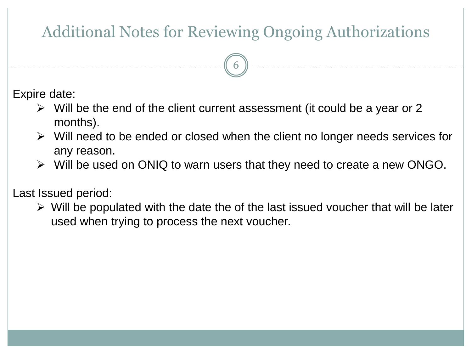### Additional Notes for Reviewing Ongoing Authorizations

6

Expire date:

- $\triangleright$  Will be the end of the client current assessment (it could be a year or 2 months).
- $\triangleright$  Will need to be ended or closed when the client no longer needs services for any reason.
- $\triangleright$  Will be used on ONIQ to warn users that they need to create a new ONGO.

Last Issued period:

 $\triangleright$  Will be populated with the date the of the last issued voucher that will be later used when trying to process the next voucher.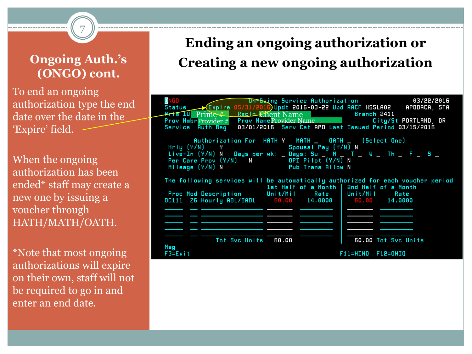#### **Ongoing Auth.'s (ONGO) cont.**

7

To end an ongoing authorization type the end date over the date in the 'Expire' field.

When the ongoing authorization has been ended\* staff may create a new one by issuing a voucher through HATH/MATH/OATH.

\*Note that most ongoing authorizations will expire on their own, staff will not be required to go in and enter an end date.

### **Ending an ongoing authorization or Creating a new ongoing authorization**

| Prim ID Prime #<br><b>Prov Nmbr</b> Provider $#$<br>Auth Beg<br>Service                                                                                                                                                                                            | Recip Chent Name Branch 2411 | DR-Gaing Service Authorization 03/22/2016<br>Status (Expire 05/31/2016)Updt 2016-03-22 Upd RACF HSSLA02 APODACA, STA<br>Prov Name Provider Name City/St PORTLAND, OR<br>03/01/2016 Serv Cat APD Last Issued Period 03/15/2016 |  |  |  |  |
|--------------------------------------------------------------------------------------------------------------------------------------------------------------------------------------------------------------------------------------------------------------------|------------------------------|-------------------------------------------------------------------------------------------------------------------------------------------------------------------------------------------------------------------------------|--|--|--|--|
| Authorization For HATH Y MATH _ OATH _ (Select One)<br>Hrig (Y/N) Y Spousal Pay (Y/N) N<br>Live-In (Y/N) N Days per wk: _ Days: Su _ N _ T _ W _ Th _ F _ S _<br>Per Care Prov (Y/N) N OPI Pilot (Y/N) N<br>Mileage (Y/N) N<br><b>Example 20 Pub Trans Allow N</b> |                              |                                                                                                                                                                                                                               |  |  |  |  |
| Proc Mod Description Unit/Mil Rate   Unit/Mil Rate<br>0C111 Z6 Hourly ADL/IADL 60.00 14.0000 60.00 14.0000                                                                                                                                                         |                              | The following services will be automatically authorized for each voucher period<br>1st Half of a Month   2nd Half of a Month                                                                                                  |  |  |  |  |
| Tot Svc Units 60.00<br>Msg<br>$F3 = Exit$                                                                                                                                                                                                                          |                              | 60.00 Tot Syc Units<br>$F11 = HINO$ $F12 = ONIO$                                                                                                                                                                              |  |  |  |  |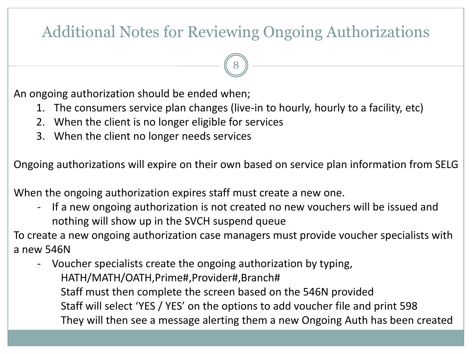### Additional Notes for Reviewing Ongoing Authorizations

8

An ongoing authorization should be ended when;

- 1. The consumers service plan changes (live-in to hourly, hourly to a facility, etc)
- 2. When the client is no longer eligible for services
- 3. When the client no longer needs services

Ongoing authorizations will expire on their own based on service plan information from SELG

When the ongoing authorization expires staff must create a new one.

- If a new ongoing authorization is not created no new vouchers will be issued and nothing will show up in the SVCH suspend queue

To create a new ongoing authorization case managers must provide voucher specialists with a new 546N

- Voucher specialists create the ongoing authorization by typing, HATH/MATH/OATH,Prime#,Provider#,Branch# Staff must then complete the screen based on the 546N provided Staff will select 'YES / YES' on the options to add voucher file and print 598 They will then see a message alerting them a new Ongoing Auth has been created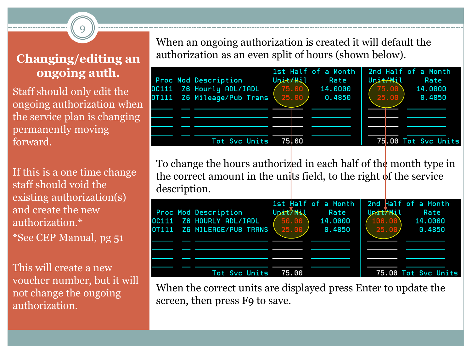#### **Changing/editing an ongoing auth.**

9

Staff should only edit the ongoing authorization when the service plan is changing permanently moving forward.

If this is a one time change staff should void the existing authorization(s) and create the new authorization.\* \*See CEP Manual, pg 51

This will create a new voucher number, but it will not change the ongoing authorization.

When an ongoing authorization is created it will default the authorization as an even split of hours (shown below).



To change the hours authorized in each half of the month type in the correct amount in the units field, to the right  $\phi$ f the service description.

|  | <b>Proc Mod Description</b><br>OC111 Z6 HOURLY ADL/IADL<br>0T111 Z6 MILEAGE/PUB TRANS | Upit/Mil<br>$\sqrt{50.00}$<br>$25.00$ $/$ | 1st Half of a Month<br>Rate<br>14.0000<br>0.4850 | Unit/Mil<br>(100.00)<br>25.00/ | 2nd Half of a Month<br>Rate<br>14.0000<br>0.4850 |
|--|---------------------------------------------------------------------------------------|-------------------------------------------|--------------------------------------------------|--------------------------------|--------------------------------------------------|
|  | Tot Svc Units                                                                         | 75.00                                     |                                                  |                                | 75.00 Tot Svc Units                              |

When the correct units are displayed press Enter to update the screen, then press F9 to save.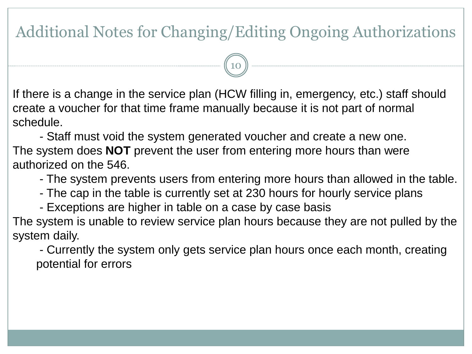### Additional Notes for Changing/Editing Ongoing Authorizations

10

If there is a change in the service plan (HCW filling in, emergency, etc.) staff should create a voucher for that time frame manually because it is not part of normal schedule.

- Staff must void the system generated voucher and create a new one. The system does **NOT** prevent the user from entering more hours than were authorized on the 546.

- The system prevents users from entering more hours than allowed in the table.
- The cap in the table is currently set at 230 hours for hourly service plans
- Exceptions are higher in table on a case by case basis

The system is unable to review service plan hours because they are not pulled by the system daily.

- Currently the system only gets service plan hours once each month, creating potential for errors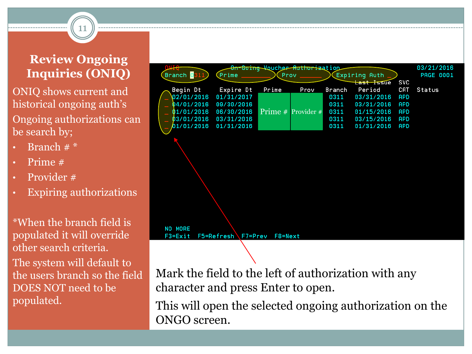#### **Review Ongoing Inquiries (ONIQ)**

11

ONIQ shows current and historical ongoing auth's Ongoing authorizations can be search by;

- Branch  $#$   $*$
- Prime #
- Provider #
- Expiring authorizations

\*When the branch field is populated it will override other search criteria. The system will default to the users branch so the field DOES NOT need to be populated.



Mark the field to the left of authorization with any character and press Enter to open.

This will open the selected ongoing authorization on the ONGO screen.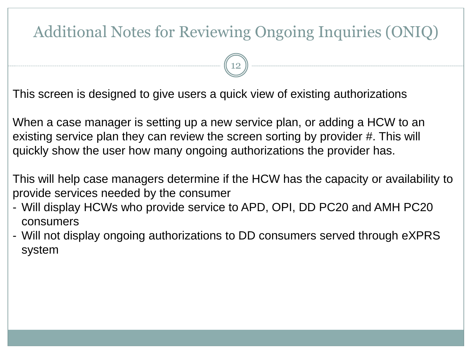### Additional Notes for Reviewing Ongoing Inquiries (ONIQ)

12

This screen is designed to give users a quick view of existing authorizations

When a case manager is setting up a new service plan, or adding a HCW to an existing service plan they can review the screen sorting by provider #. This will quickly show the user how many ongoing authorizations the provider has.

This will help case managers determine if the HCW has the capacity or availability to provide services needed by the consumer

- Will display HCWs who provide service to APD, OPI, DD PC20 and AMH PC20 consumers
- Will not display ongoing authorizations to DD consumers served through eXPRS system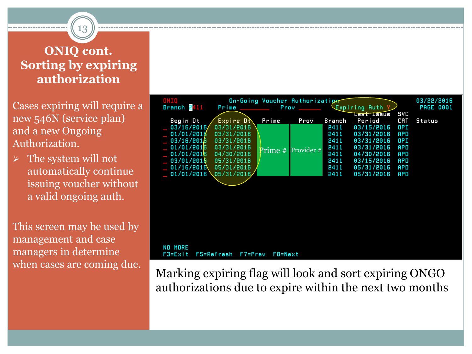#### **ONIQ cont. Sorting by expiring authorization**

13

Cases expiring will require a new 546N (service plan) and a new Ongoing Authorization.

 $\triangleright$  The system will not automatically continue issuing voucher without a valid ongoing auth.

This screen may be used by management and case managers in determine when cases are coming due.



Marking expiring flag will look and sort expiring ONGO authorizations due to expire within the next two months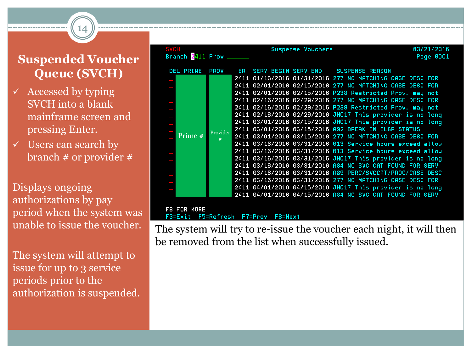### **Suspended Voucher Queue (SVCH)**

14

- $\checkmark$  Accessed by typing SVCH into a blank mainframe screen and pressing Enter.
- $\checkmark$  Users can search by branch # or provider #

Displays ongoing authorizations by pay period when the system was unable to issue the voucher.

The system will attempt to issue for up to 3 service periods prior to the authorization is suspended.

| <b>SVCH</b><br>Branch 2411 Prov |             | Suspense Vouchers |                                                           | 03/21/2016<br>Page 0001 |
|---------------------------------|-------------|-------------------|-----------------------------------------------------------|-------------------------|
| DEL PRIME                       | <b>PROV</b> |                   | BR SERV BEGIN SERV END SUSPENSE REASON                    |                         |
|                                 |             |                   | 2411 01/16/2016 01/31/2016 277 NO MATCHING CASE DESC FOR  |                         |
|                                 |             |                   | 2411 02/01/2016 02/15/2016 277 NO MATCHING CASE DESC FOR  |                         |
|                                 |             |                   | 2411 02/01/2016 02/15/2016 P238 Restricted Prov. may not  |                         |
|                                 |             |                   | 2411 02/16/2016 02/29/2016 277 NO MATCHING CASE DESC FOR  |                         |
|                                 |             |                   | 2411 02/16/2016 02/29/2016 P238 Restricted Prov. may not  |                         |
|                                 |             |                   | 2411 02/16/2016 02/29/2016 JH017 This provider is no long |                         |
|                                 |             |                   | 2411 03/01/2016 03/15/2016 JH017 This provider is no long |                         |
|                                 |             |                   | 2411 03/01/2016 03/15/2016 A92 BREAK IN ELGR STATUS       |                         |
| Prime #                         | Provider    |                   | 2411 03/01/2016 03/15/2016 277 NO MATCHING CASE DESC FOR  |                         |
|                                 |             |                   | 2411 03/16/2016 03/31/2016 013 Service hours exceed allow |                         |
|                                 |             |                   | 2411 03/16/2016 03/31/2016 013 Service hours exceed allow |                         |
|                                 |             |                   | 2411 03/16/2016 03/31/2016 JH017 This provider is no long |                         |
|                                 |             |                   | 2411 03/16/2016 03/31/2016 A84 NO SVC CAT FOUND FOR SERV  |                         |
|                                 |             |                   | 2411 03/16/2016 03/31/2016 A89 PERC/SVCCAT/PROC/CASE DESC |                         |
|                                 |             |                   | 2411 03/16/2016 03/31/2016 277 NO MATCHING CASE DESC FOR  |                         |
|                                 |             |                   | 2411 04/01/2016 04/15/2016 JH017 This provider is no long |                         |
|                                 |             |                   | 2411 04/01/2016 04/15/2016 A84 NO SVC CAT FOUND FOR SERV  |                         |
|                                 |             |                   |                                                           |                         |
| FOR MORE<br>F8.                 |             |                   |                                                           |                         |
|                                 |             |                   |                                                           |                         |

The system will try to re-issue the voucher each night, it will then be removed from the list when successfully issued.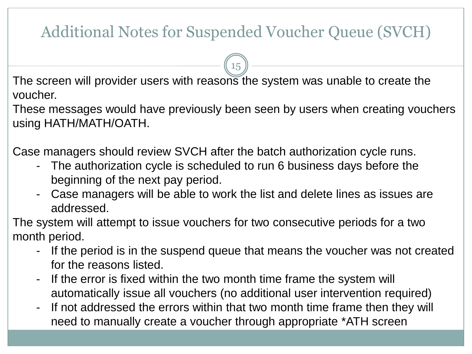### Additional Notes for Suspended Voucher Queue (SVCH)

15

The screen will provider users with reasons the system was unable to create the voucher.

These messages would have previously been seen by users when creating vouchers using HATH/MATH/OATH.

Case managers should review SVCH after the batch authorization cycle runs.

- The authorization cycle is scheduled to run 6 business days before the beginning of the next pay period.
- Case managers will be able to work the list and delete lines as issues are addressed.

The system will attempt to issue vouchers for two consecutive periods for a two month period.

- If the period is in the suspend queue that means the voucher was not created for the reasons listed.
- If the error is fixed within the two month time frame the system will automatically issue all vouchers (no additional user intervention required)
- If not addressed the errors within that two month time frame then they will need to manually create a voucher through appropriate \*ATH screen